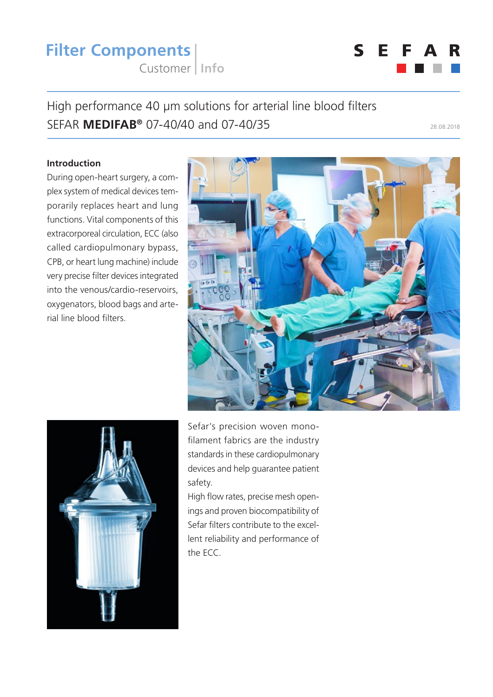### High performance 40 µm solutions for arterial line blood filters SEFAR **MEDIFAB<sup>®</sup>** 07-40/40 and 07-40/35

**Introduction**

During open-heart surgery, a complex system of medical devices temporarily replaces heart and lung functions. Vital components of this extracorporeal circulation, ECC (also called cardiopulmonary bypass, CPB, or heart lung machine) include very precise filter devices integrated into the venous/cardio-reservoirs, oxygenators, blood bags and arterial line blood filters.

> Sefar's precision woven monofilament fabrics are the industry standards in these cardiopulmonary devices and help guarantee patient safety.

High flow rates, precise mesh openings and proven biocompatibility of Sefar filters contribute to the excellent reliability and performance of the ECC.



### S E

**Filter Components** Customer **| Info**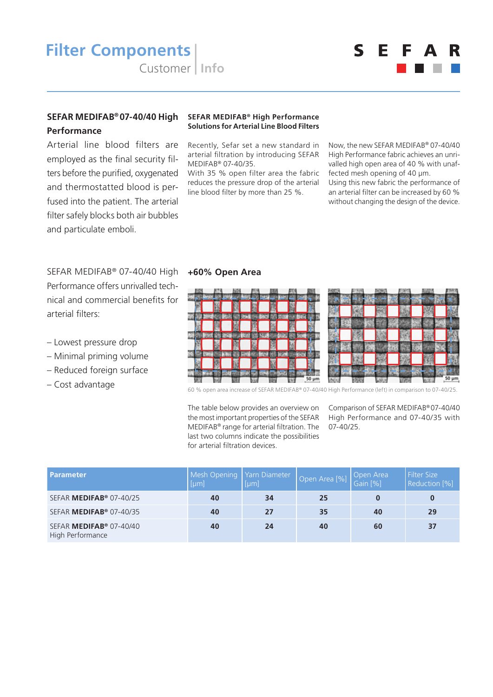# **Filter Components**



S

E.

F

### **SEFAR MEDIFAB® 07-40/40 High Performance**

Arterial line blood filters are employed as the final security filters before the purified, oxygenated and thermostatted blood is perfused into the patient. The arterial filter safely blocks both air bubbles and particulate emboli.

#### **SEFAR MEDIFAB® High Performance Solutions for Arterial Line Blood Filters**

Recently, Sefar set a new standard in arterial filtration by introducing SEFAR MEDIFAB® 07-40/35.

With 35 % open filter area the fabric reduces the pressure drop of the arterial line blood filter by more than 25 %.

Now, the new SEFAR MEDIFAB® 07-40/40 High Performance fabric achieves an unrivalled high open area of 40 % with unaffected mesh opening of 40 μm.

Using this new fabric the performance of an arterial filter can be increased by 60 % without changing the design of the device.

### SEFAR MEDIFAB® 07-40/40 High Performance offers unrivalled technical and commercial benefits for arterial filters:

- Lowest pressure drop
- Minimal priming volume
- Reduced foreign surface
- Cost advantage

#### **+60% Open Area**



<sup>60 %</sup> open area increase of SEFAR MEDIFAB® 07-40/40 High Performance (left) in comparison to 07-40/25.

The table below provides an overview on the most important properties of the SEFAR MEDIFAB® range for arterial filtration. The last two columns indicate the possibilities for arterial filtration devices.

Comparison of SEFAR MEDIFAB® 07-40/40 High Performance and 07-40/35 with 07-40/25.

| <b>Parameter</b>                                        | Mesh Opening<br>um] | Yarn Diameter<br>um] | Open Area [%] | Open Area<br>Gain [%] | Filter Size<br>Reduction [%] |
|---------------------------------------------------------|---------------------|----------------------|---------------|-----------------------|------------------------------|
| SEFAR MEDIFAB <sup>®</sup> 07-40/25                     | 40                  | 34                   | 25            |                       | 0                            |
| SEFAR MEDIFAB <sup>®</sup> 07-40/35                     | 40                  | 27                   | 35            | 40                    | 29                           |
| SEFAR MEDIFAB <sup>®</sup> 07-40/40<br>High Performance | 40                  | 24                   | 40            | 60                    | 37                           |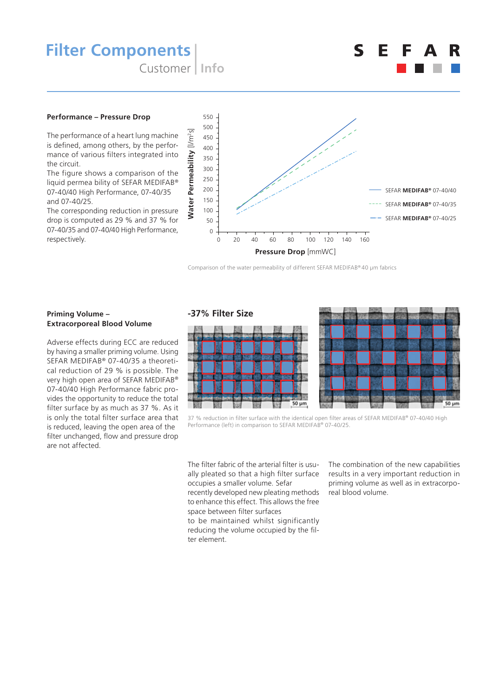### **Filter Components**

Customer **| Info**

### 5 F

#### **Performance – Pressure Drop**

The performance of a heart lung machine is defined, among others, by the performance of various filters integrated into the circuit.

The figure shows a comparison of the liquid permea bility of SEFAR MEDIFAB® 07-40/40 High Performance, 07-40/35 and 07-40/25.

The corresponding reduction in pressure drop is computed as 29 % and 37 % for 07-40/35 and 07-40/40 High Performance, respectively.



Comparison of the water permeability of different SEFAR MEDIFAB® 40 µm fabrics

#### **Priming Volume – Extracorporeal Blood Volume**

Adverse effects during ECC are reduced by having a smaller priming volume. Using SEFAR MEDIFAB® 07-40/35 a theoretical reduction of 29 % is possible. The very high open area of SEFAR MEDIFAB® 07-40/40 High Performance fabric provides the opportunity to reduce the total filter surface by as much as 37 %. As it is only the total filter surface area that is reduced, leaving the open area of the filter unchanged, flow and pressure drop are not affected.

#### **-37% Filter Size**





37 % reduction in filter surface with the identical open filter areas of SEFAR MEDIFAB® 07-40/40 High Performance (left) in comparison to SEFAR MEDIFAB® 07-40/25

The filter fabric of the arterial filter is usually pleated so that a high filter surface occupies a smaller volume. Sefar recently developed new pleating methods

to enhance this effect. This allows the free space between filter surfaces to be maintained whilst significantly

reducing the volume occupied by the filter element.

The combination of the new capabilities results in a very important reduction in priming volume as well as in extracorporeal blood volume.